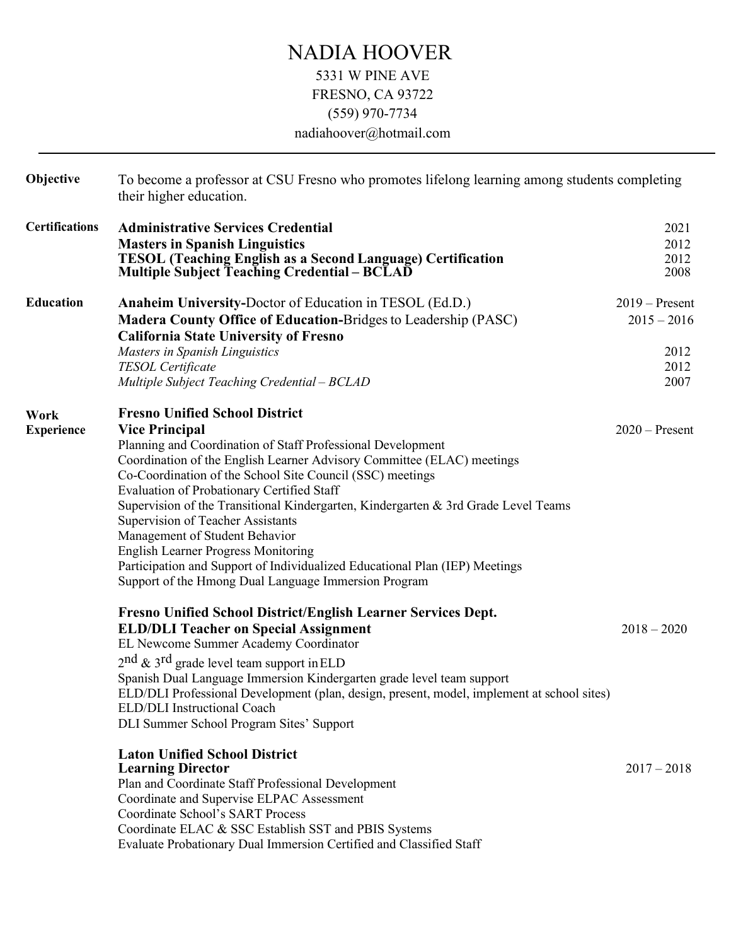## NADIA HOOVER 5331 W PINE AVE FRESNO, CA 93722 (559) 970-7734 nadiahoover@hotmail.com

| Objective                 | To become a professor at CSU Fresno who promotes lifelong learning among students completing<br>their higher education.                                                                                                                                                                                                                                                                                                                                                                                                                                                                                                                                              |                                                           |  |
|---------------------------|----------------------------------------------------------------------------------------------------------------------------------------------------------------------------------------------------------------------------------------------------------------------------------------------------------------------------------------------------------------------------------------------------------------------------------------------------------------------------------------------------------------------------------------------------------------------------------------------------------------------------------------------------------------------|-----------------------------------------------------------|--|
| <b>Certifications</b>     | <b>Administrative Services Credential</b><br><b>Masters in Spanish Linguistics</b><br><b>TESOL (Teaching English as a Second Language) Certification</b><br><b>Multiple Subject Teaching Credential – BCLAD</b>                                                                                                                                                                                                                                                                                                                                                                                                                                                      | 2021<br>2012<br>2012<br>2008                              |  |
| <b>Education</b>          | Anaheim University-Doctor of Education in TESOL (Ed.D.)<br><b>Madera County Office of Education-Bridges to Leadership (PASC)</b><br><b>California State University of Fresno</b><br>Masters in Spanish Linguistics<br>TESOL Certificate<br>Multiple Subject Teaching Credential - BCLAD                                                                                                                                                                                                                                                                                                                                                                              | $2019 -$ Present<br>$2015 - 2016$<br>2012<br>2012<br>2007 |  |
| Work<br><b>Experience</b> | <b>Fresno Unified School District</b><br><b>Vice Principal</b><br>Planning and Coordination of Staff Professional Development<br>Coordination of the English Learner Advisory Committee (ELAC) meetings<br>Co-Coordination of the School Site Council (SSC) meetings<br>Evaluation of Probationary Certified Staff<br>Supervision of the Transitional Kindergarten, Kindergarten & 3rd Grade Level Teams<br>Supervision of Teacher Assistants<br>Management of Student Behavior<br><b>English Learner Progress Monitoring</b><br>Participation and Support of Individualized Educational Plan (IEP) Meetings<br>Support of the Hmong Dual Language Immersion Program | $2020$ – Present                                          |  |
|                           | Fresno Unified School District/English Learner Services Dept.<br><b>ELD/DLI Teacher on Special Assignment</b><br>EL Newcome Summer Academy Coordinator<br>$2nd$ & 3 <sup>rd</sup> grade level team support in ELD<br>Spanish Dual Language Immersion Kindergarten grade level team support<br>ELD/DLI Professional Development (plan, design, present, model, implement at school sites)<br>ELD/DLI Instructional Coach<br>DLI Summer School Program Sites' Support                                                                                                                                                                                                  | $2018 - 2020$                                             |  |
|                           | <b>Laton Unified School District</b><br><b>Learning Director</b><br>Plan and Coordinate Staff Professional Development<br>Coordinate and Supervise ELPAC Assessment<br>Coordinate School's SART Process<br>Coordinate ELAC & SSC Establish SST and PBIS Systems<br>Evaluate Probationary Dual Immersion Certified and Classified Staff                                                                                                                                                                                                                                                                                                                               | $2017 - 2018$                                             |  |